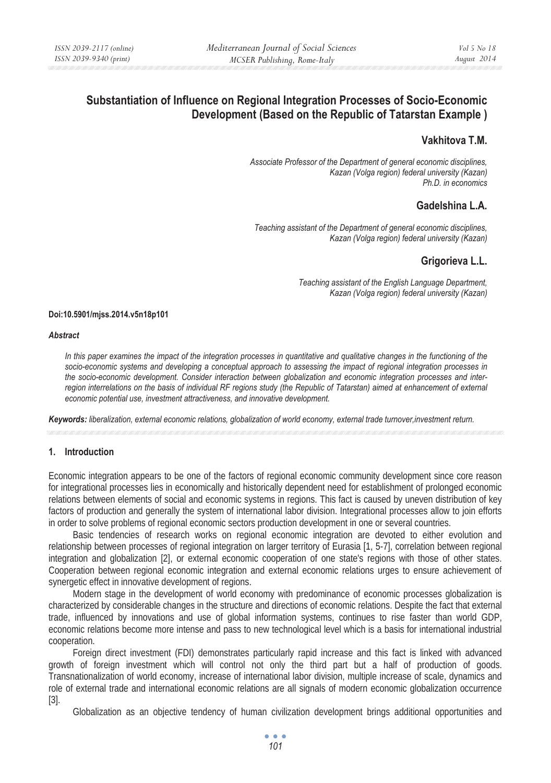# **Substantiation of Influence on Regional Integration Processes of Socio-Economic Development (Based on the Republic of Tatarstan Example )**

## **Vakhitova T.M.**

*Associate Professor of the Department of general economic disciplines, Kazan (Volga region) federal university (Kazan) Ph.D. in economics* 

## **Gadelshina L.A.**

*Teaching assistant of the Department of general economic disciplines, Kazan (Volga region) federal university (Kazan)* 

## **Grigorieva L.L.**

*Teaching assistant of the English Language Department, Kazan (Volga region) federal university (Kazan)* 

#### **Doi:10.5901/mjss.2014.v5n18p101**

#### *Abstract*

In this paper examines the impact of the integration processes in quantitative and qualitative changes in the functioning of the *socio-economic systems and developing a conceptual approach to assessing the impact of regional integration processes in the socio-economic development. Consider interaction between globalization and economic integration processes and interregion interrelations on the basis of individual RF regions study (the Republic of Tatarstan) aimed at enhancement of external economic potential use, investment attractiveness, and innovative development.* 

*Keywords: liberalization, external economic relations, globalization of world economy, external trade turnover,investment return.* 

### **1. Introduction**

Economic integration appears to be one of the factors of regional economic community development since core reason for integrational processes lies in economically and historically dependent need for establishment of prolonged economic relations between elements of social and economic systems in regions. This fact is caused by uneven distribution of key factors of production and generally the system of international labor division. Integrational processes allow to join efforts in order to solve problems of regional economic sectors production development in one or several countries.

Basic tendencies of research works on regional economic integration are devoted to either evolution and relationship between processes of regional integration on larger territory of Eurasia [1, 5-7], correlation between regional integration and globalization [2], or external economic cooperation of one state's regions with those of other states. Cooperation between regional economic integration and external economic relations urges to ensure achievement of synergetic effect in innovative development of regions.

Modern stage in the development of world economy with predominance of economic processes globalization is characterized by considerable changes in the structure and directions of economic relations. Despite the fact that external trade, influenced by innovations and use of global information systems, continues to rise faster than world GDP, economic relations become more intense and pass to new technological level which is a basis for international industrial cooperation.

Foreign direct investment (FDI) demonstrates particularly rapid increase and this fact is linked with advanced growth of foreign investment which will control not only the third part but a half of production of goods. Transnationalization of world economy, increase of international labor division, multiple increase of scale, dynamics and role of external trade and international economic relations are all signals of modern economic globalization occurrence [3].

Globalization as an objective tendency of human civilization development brings additional opportunities and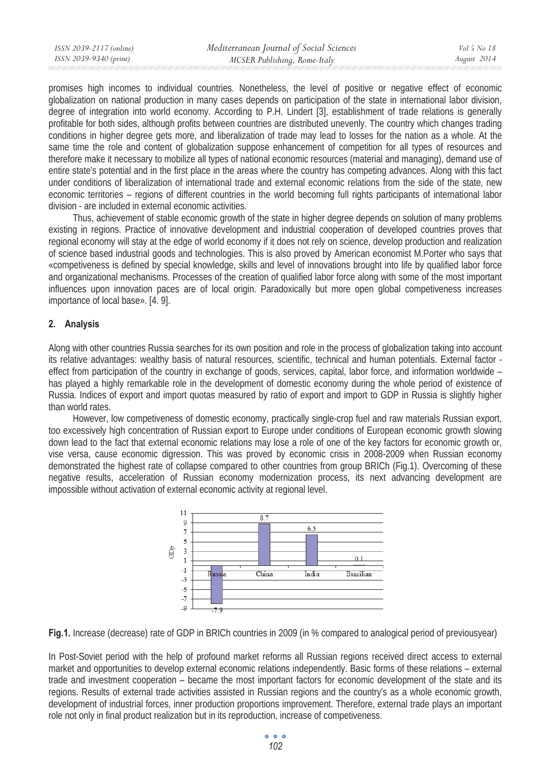| ISSN 2039-2117 (online) | Mediterranean Journal of Social Sciences | Vol 5 No 18 |
|-------------------------|------------------------------------------|-------------|
| ISSN 2039-9340 (print)  | MCSER Publishing, Rome-Italy             | August 2014 |
|                         |                                          |             |

promises high incomes to individual countries. Nonetheless, the level of positive or negative effect of economic globalization on national production in many cases depends on participation of the state in international labor division, degree of integration into world economy. According to P.H. Lindert [3], establishment of trade relations is generally profitable for both sides, although profits between countries are distributed unevenly. The country which changes trading conditions in higher degree gets more, and liberalization of trade may lead to losses for the nation as a whole. At the same time the role and content of globalization suppose enhancement of competition for all types of resources and therefore make it necessary to mobilize all types of national economic resources (material and managing), demand use of entire state's potential and in the first place in the areas where the country has competing advances. Along with this fact under conditions of liberalization of international trade and external economic relations from the side of the state, new economic territories – regions of different countries in the world becoming full rights participants of international labor division - are included in external economic activities.

Thus, achievement of stable economic growth of the state in higher degree depends on solution of many problems existing in regions. Practice of innovative development and industrial cooperation of developed countries proves that regional economy will stay at the edge of world economy if it does not rely on science, develop production and realization of science based industrial goods and technologies. This is also proved by American economist M.Porter who says that «competiveness is defined by special knowledge, skills and level of innovations brought into life by qualified labor force and organizational mechanisms. Processes of the creation of qualified labor force along with some of the most important influences upon innovation paces are of local origin. Paradoxically but more open global competiveness increases importance of local base». [4. 9].

### **2. Analysis**

Along with other countries Russia searches for its own position and role in the process of globalization taking into account its relative advantages: wealthy basis of natural resources, scientific, technical and human potentials. External factor effect from participation of the country in exchange of goods, services, capital, labor force, and information worldwide – has played a highly remarkable role in the development of domestic economy during the whole period of existence of Russia. Indices of export and import quotas measured by ratio of export and import to GDP in Russia is slightly higher than world rates.

However, low competiveness of domestic economy, practically single-crop fuel and raw materials Russian export, too excessively high concentration of Russian export to Europe under conditions of European economic growth slowing down lead to the fact that external economic relations may lose a role of one of the key factors for economic growth or, vise versa, cause economic digression. This was proved by economic crisis in 2008-2009 when Russian economy demonstrated the highest rate of collapse compared to other countries from group BRICh (Fig.1). Overcoming of these negative results, acceleration of Russian economy modernization process, its next advancing development are impossible without activation of external economic activity at regional level.



**Fig.1.** Increase (decrease) rate of GDP in BRICh countries in 2009 (in % compared to analogical period of previousyear)

In Post-Soviet period with the help of profound market reforms all Russian regions received direct access to external market and opportunities to develop external economic relations independently. Basic forms of these relations – external trade and investment cooperation – became the most important factors for economic development of the state and its regions. Results of external trade activities assisted in Russian regions and the country's as a whole economic growth, development of industrial forces, inner production proportions improvement. Therefore, external trade plays an important role not only in final product realization but in its reproduction, increase of competiveness.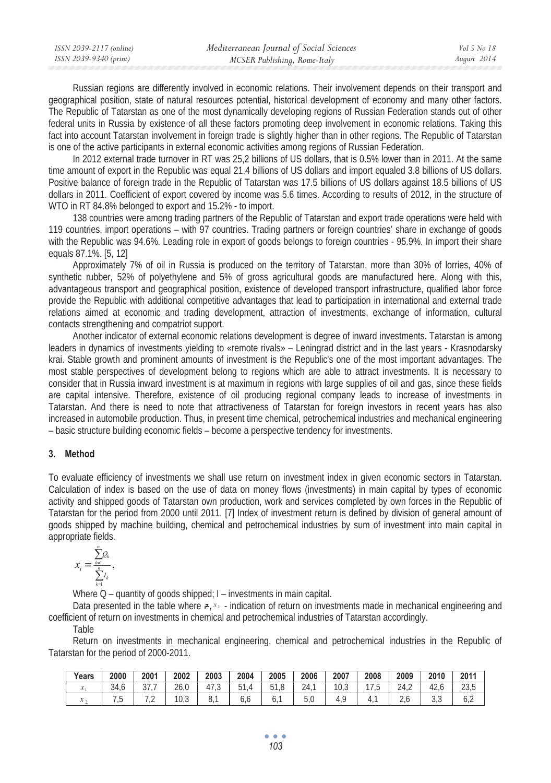| ISSN 2039-2117 (online) | Mediterranean Journal of Social Sciences | Vol 5 No 18 |
|-------------------------|------------------------------------------|-------------|
| ISSN 2039-9340 (print)  | MCSER Publishing, Rome-Italy             | August 2014 |

Russian regions are differently involved in economic relations. Their involvement depends on their transport and geographical position, state of natural resources potential, historical development of economy and many other factors. The Republic of Tatarstan as one of the most dynamically developing regions of Russian Federation stands out of other federal units in Russia by existence of all these factors promoting deep involvement in economic relations. Taking this fact into account Tatarstan involvement in foreign trade is slightly higher than in other regions. The Republic of Tatarstan is one of the active participants in external economic activities among regions of Russian Federation.

In 2012 external trade turnover in RT was 25,2 billions of US dollars, that is 0.5% lower than in 2011. At the same time amount of export in the Republic was equal 21.4 billions of US dollars and import equaled 3.8 billions of US dollars. Positive balance of foreign trade in the Republic of Tatarstan was 17.5 billions of US dollars against 18.5 billions of US dollars in 2011. Coefficient of export covered by income was 5.6 times. According to results of 2012, in the structure of WTO in RT 84.8% belonged to export and 15.2% - to import.

138 countries were among trading partners of the Republic of Tatarstan and export trade operations were held with 119 countries, import operations – with 97 countries. Trading partners or foreign countries' share in exchange of goods with the Republic was 94.6%. Leading role in export of goods belongs to foreign countries - 95.9%. In import their share equals 87.1%. [5, 12]

Approximately 7% of oil in Russia is produced on the territory of Tatarstan, more than 30% of lorries, 40% of synthetic rubber, 52% of polyethylene and 5% of gross agricultural goods are manufactured here. Along with this, advantageous transport and geographical position, existence of developed transport infrastructure, qualified labor force provide the Republic with additional competitive advantages that lead to participation in international and external trade relations aimed at economic and trading development, attraction of investments, exchange of information, cultural contacts strengthening and compatriot support.

Another indicator of external economic relations development is degree of inward investments. Tatarstan is among leaders in dynamics of investments yielding to «remote rivals» – Leningrad district and in the last years - Krasnodarsky krai. Stable growth and prominent amounts of investment is the Republic's one of the most important advantages. The most stable perspectives of development belong to regions which are able to attract investments. It is necessary to consider that in Russia inward investment is at maximum in regions with large supplies of oil and gas, since these fields are capital intensive. Therefore, existence of oil producing regional company leads to increase of investments in Tatarstan. And there is need to note that attractiveness of Tatarstan for foreign investors in recent years has also increased in automobile production. Thus, in present time chemical, petrochemical industries and mechanical engineering – basic structure building economic fields – become a perspective tendency for investments.

### **3. Method**

To evaluate efficiency of investments we shall use return on investment index in given economic sectors in Tatarstan. Calculation of index is based on the use of data on money flows (investments) in main capital by types of economic activity and shipped goods of Tatarstan own production, work and services completed by own forces in the Republic of Tatarstan for the period from 2000 until 2011. [7] Index of investment return is defined by division of general amount of goods shipped by machine building, chemical and petrochemical industries by sum of investment into main capital in appropriate fields.

$$
x_{i} = \frac{\sum_{k=1}^{n} Q_{k}}{\sum_{k=1}^{n} I_{k}},
$$

Where Q – quantity of goods shipped; I – investments in main capital.

Data presented in the table where  $\epsilon$ ,  $x_2$  - indication of return on investments made in mechanical engineering and coefficient of return on investments in chemical and petrochemical industries of Tatarstan accordingly.

Table

Return on investments in mechanical engineering, chemical and petrochemical industries in the Republic of Tatarstan for the period of 2000-2011.

| Years        | 2000                     | 2001                        | 2002       | 2003                | 2004 | 2005                | 2006                           | 2007                           | 2008 | 2009                          | 2010                              | 2011                   |
|--------------|--------------------------|-----------------------------|------------|---------------------|------|---------------------|--------------------------------|--------------------------------|------|-------------------------------|-----------------------------------|------------------------|
|              | $\sim$ $\lambda$<br>34.6 | $\sim$ $\rightarrow$<br>ິ ເ | ንለ<br>ZU.U | $\rightarrow$<br>ں، | г1   | E 4<br>h<br>.ō<br>ັ | $\sim$ $\sim$<br>$\Delta$<br>∼ | 1 <sub>0</sub><br>$U_{1}U_{2}$ | ں،   | $\sim$ $\sim$<br>'Δ<br>$-1.4$ | $\sim$<br>д,<br>$\epsilon$ $\sim$ | $\cap$ $\cap$<br>ں ، ب |
| $\mathbf{v}$ | ر .                      | $\overline{\phantom{a}}$    | . v, J     | ο.                  | o,o  |                     | v,v                            |                                |      | ۰۰                            | ບ,ບ                               | u,∠                    |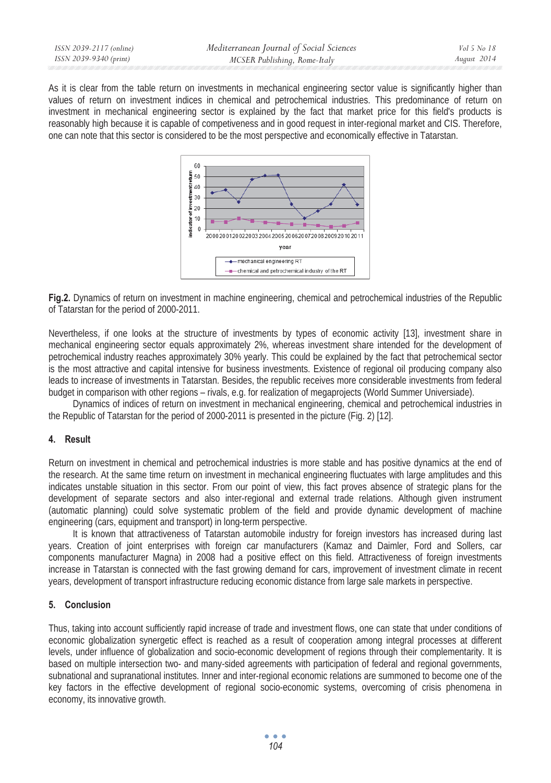| Mediterranean Journal of Social Sciences               |             |
|--------------------------------------------------------|-------------|
| ISSN 2039-9340 (print)<br>MCSER Publishing, Rome-Italy | August 2014 |

As it is clear from the table return on investments in mechanical engineering sector value is significantly higher than values of return on investment indices in chemical and petrochemical industries. This predominance of return on investment in mechanical engineering sector is explained by the fact that market price for this field's products is reasonably high because it is capable of competiveness and in good request in inter-regional market and CIS. Therefore, one can note that this sector is considered to be the most perspective and economically effective in Tatarstan.



**Fig.2.** Dynamics of return on investment in machine engineering, chemical and petrochemical industries of the Republic of Tatarstan for the period of 2000-2011.

Nevertheless, if one looks at the structure of investments by types of economic activity [13], investment share in mechanical engineering sector equals approximately 2%, whereas investment share intended for the development of petrochemical industry reaches approximately 30% yearly. This could be explained by the fact that petrochemical sector is the most attractive and capital intensive for business investments. Existence of regional oil producing company also leads to increase of investments in Tatarstan. Besides, the republic receives more considerable investments from federal budget in comparison with other regions – rivals, e.g. for realization of megaprojects (World Summer Universiade).

Dynamics of indices of return on investment in mechanical engineering, chemical and petrochemical industries in the Republic of Tatarstan for the period of 2000-2011 is presented in the picture (Fig. 2) [12].

### **4. Result**

Return on investment in chemical and petrochemical industries is more stable and has positive dynamics at the end of the research. At the same time return on investment in mechanical engineering fluctuates with large amplitudes and this indicates unstable situation in this sector. From our point of view, this fact proves absence of strategic plans for the development of separate sectors and also inter-regional and external trade relations. Although given instrument (automatic planning) could solve systematic problem of the field and provide dynamic development of machine engineering (cars, equipment and transport) in long-term perspective.

It is known that attractiveness of Tatarstan automobile industry for foreign investors has increased during last years. Creation of joint enterprises with foreign car manufacturers (Kamaz and Daimler, Ford and Sollers, car components manufacturer Magna) in 2008 had a positive effect on this field. Attractiveness of foreign investments increase in Tatarstan is connected with the fast growing demand for cars, improvement of investment climate in recent years, development of transport infrastructure reducing economic distance from large sale markets in perspective.

### **5. Conclusion**

Thus, taking into account sufficiently rapid increase of trade and investment flows, one can state that under conditions of economic globalization synergetic effect is reached as a result of cooperation among integral processes at different levels, under influence of globalization and socio-economic development of regions through their complementarity. It is based on multiple intersection two- and many-sided agreements with participation of federal and regional governments, subnational and supranational institutes. Inner and inter-regional economic relations are summoned to become one of the key factors in the effective development of regional socio-economic systems, overcoming of crisis phenomena in economy, its innovative growth.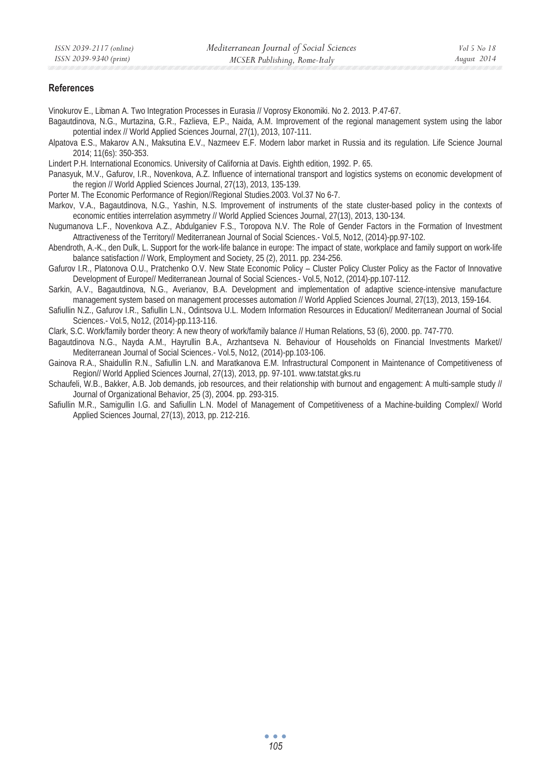#### **References**

Vinokurov E., Libman A. Two Integration Processes in Eurasia // Voprosy Ekonomiki. No 2. 2013. P.47-67.

- Bagautdinova, N.G., Murtazina, G.R., Fazlieva, E.P., Naida, A.M. Improvement of the regional management system using the labor potential index // World Applied Sciences Journal, 27(1), 2013, 107-111.
- Alpatova E.S., Makarov A.N., Maksutina E.V., Nazmeev E.F. Modern labor market in Russia and its regulation. Life Science Journal 2014; 11(6s): 350-353.
- Lindert P.H. International Economics. University of California at Davis. Eighth edition, 1992. P. 65.
- Panasyuk, M.V., Gafurov, I.R., Novenkova, A.Z. Influence of international transport and logistics systems on economic development of the region // World Applied Sciences Journal, 27(13), 2013, 135-139.
- Porter M. The Economic Performance of Region//Regional Studies.2003. Vol.37 No 6-7.
- Markov, V.A., Bagautdinova, N.G., Yashin, N.S. Improvement of instruments of the state cluster-based policy in the contexts of economic entities interrelation asymmetry // World Applied Sciences Journal, 27(13), 2013, 130-134.
- Nugumanova L.F., Novenkova A.Z., Abdulganiev F.S., Toropova N.V. The Role of Gender Factors in the Formation of Investment Attractiveness of the Territory// Mediterranean Journal of Social Sciences.- Vol.5, No12, (2014)-pp.97-102.
- Abendroth, A.-K., den Dulk, L. Support for the work-life balance in europe: The impact of state, workplace and family support on work-life balance satisfaction // Work, Employment and Society, 25 (2), 2011. pp. 234-256.
- Gafurov I.R., Platonova O.U., Pratchenko O.V. New State Economic Policy Cluster Policy Cluster Policy as the Factor of Innovative Development of Europe// Mediterranean Journal of Social Sciences.- Vol.5, No12, (2014)-pp.107-112.
- Sarkin, A.V., Bagautdinova, N.G., Averianov, B.A. Development and implementation of adaptive science-intensive manufacture management system based on management processes automation // World Applied Sciences Journal, 27(13), 2013, 159-164.
- Safiullin N.Z., Gafurov I.R., Safiullin L.N., Odintsova U.L. Modern Information Resources in Education// Mediterranean Journal of Social Sciences.- Vol.5, No12, (2014)-pp.113-116.

Clark, S.C. Work/family border theory: A new theory of work/family balance // Human Relations, 53 (6), 2000. pp. 747-770.

Bagautdinova N.G., Nayda A.M., Hayrullin B.A., Arzhantseva N. Behaviour of Households on Financial Investments Market// Mediterranean Journal of Social Sciences.- Vol.5, No12, (2014)-pp.103-106.

Gainova R.A., Shaidullin R.N., Safiullin L.N. and Maratkanova E.M. Infrastructural Component in Maintenance of Competitiveness of Region// World Applied Sciences Journal, 27(13), 2013, pp. 97-101. www.tatstat.gks.ru

Schaufeli, W.B., Bakker, A.B. Job demands, job resources, and their relationship with burnout and engagement: A multi-sample study // Journal of Organizational Behavior, 25 (3), 2004. pp. 293-315.

Safiullin M.R., Samigullin I.G. and Safiullin L.N. Model of Management of Competitiveness of a Machine-building Complex// World Applied Sciences Journal, 27(13), 2013, pp. 212-216.